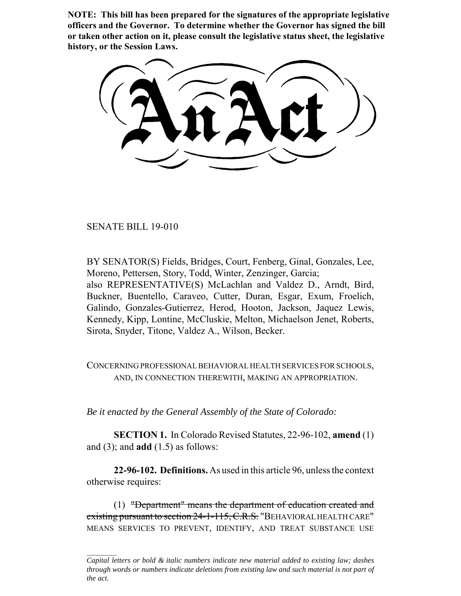**NOTE: This bill has been prepared for the signatures of the appropriate legislative officers and the Governor. To determine whether the Governor has signed the bill or taken other action on it, please consult the legislative status sheet, the legislative history, or the Session Laws.**

SENATE BILL 19-010

BY SENATOR(S) Fields, Bridges, Court, Fenberg, Ginal, Gonzales, Lee, Moreno, Pettersen, Story, Todd, Winter, Zenzinger, Garcia; also REPRESENTATIVE(S) McLachlan and Valdez D., Arndt, Bird, Buckner, Buentello, Caraveo, Cutter, Duran, Esgar, Exum, Froelich, Galindo, Gonzales-Gutierrez, Herod, Hooton, Jackson, Jaquez Lewis, Kennedy, Kipp, Lontine, McCluskie, Melton, Michaelson Jenet, Roberts, Sirota, Snyder, Titone, Valdez A., Wilson, Becker.

CONCERNING PROFESSIONAL BEHAVIORAL HEALTH SERVICES FOR SCHOOLS, AND, IN CONNECTION THEREWITH, MAKING AN APPROPRIATION.

*Be it enacted by the General Assembly of the State of Colorado:*

**SECTION 1.** In Colorado Revised Statutes, 22-96-102, **amend** (1) and (3); and **add** (1.5) as follows:

**22-96-102. Definitions.** As used in this article 96, unless the context otherwise requires:

(1) "Department" means the department of education created and existing pursuant to section 24-1-115, C.R.S. "BEHAVIORAL HEALTH CARE" MEANS SERVICES TO PREVENT, IDENTIFY, AND TREAT SUBSTANCE USE

*Capital letters or bold & italic numbers indicate new material added to existing law; dashes through words or numbers indicate deletions from existing law and such material is not part of the act.*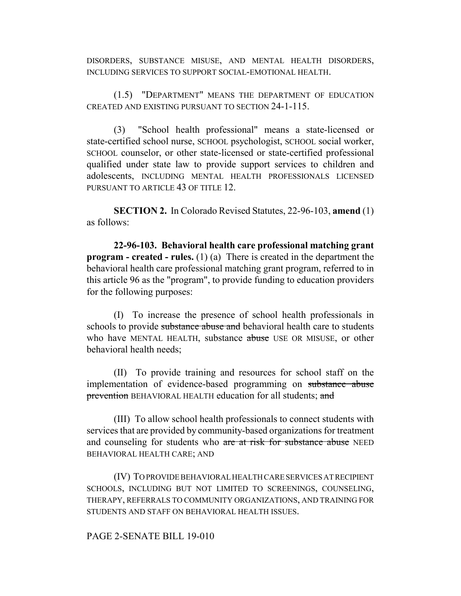DISORDERS, SUBSTANCE MISUSE, AND MENTAL HEALTH DISORDERS, INCLUDING SERVICES TO SUPPORT SOCIAL-EMOTIONAL HEALTH.

(1.5) "DEPARTMENT" MEANS THE DEPARTMENT OF EDUCATION CREATED AND EXISTING PURSUANT TO SECTION 24-1-115.

(3) "School health professional" means a state-licensed or state-certified school nurse, SCHOOL psychologist, SCHOOL social worker, SCHOOL counselor, or other state-licensed or state-certified professional qualified under state law to provide support services to children and adolescents, INCLUDING MENTAL HEALTH PROFESSIONALS LICENSED PURSUANT TO ARTICLE 43 OF TITLE 12.

**SECTION 2.** In Colorado Revised Statutes, 22-96-103, **amend** (1) as follows:

**22-96-103. Behavioral health care professional matching grant program - created - rules.** (1) (a) There is created in the department the behavioral health care professional matching grant program, referred to in this article 96 as the "program", to provide funding to education providers for the following purposes:

(I) To increase the presence of school health professionals in schools to provide substance abuse and behavioral health care to students who have MENTAL HEALTH, substance abuse USE OR MISUSE, or other behavioral health needs;

(II) To provide training and resources for school staff on the implementation of evidence-based programming on substance abuse prevention BEHAVIORAL HEALTH education for all students; and

(III) To allow school health professionals to connect students with services that are provided by community-based organizations for treatment and counseling for students who are at risk for substance abuse NEED BEHAVIORAL HEALTH CARE; AND

(IV) TO PROVIDE BEHAVIORAL HEALTH CARE SERVICES AT RECIPIENT SCHOOLS, INCLUDING BUT NOT LIMITED TO SCREENINGS, COUNSELING, THERAPY, REFERRALS TO COMMUNITY ORGANIZATIONS, AND TRAINING FOR STUDENTS AND STAFF ON BEHAVIORAL HEALTH ISSUES.

## PAGE 2-SENATE BILL 19-010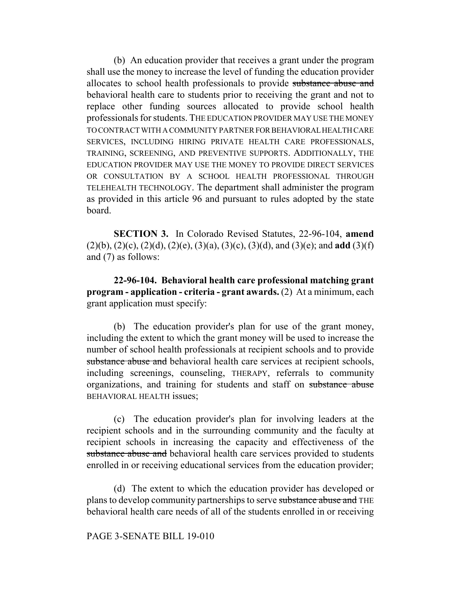(b) An education provider that receives a grant under the program shall use the money to increase the level of funding the education provider allocates to school health professionals to provide substance abuse and behavioral health care to students prior to receiving the grant and not to replace other funding sources allocated to provide school health professionals for students. THE EDUCATION PROVIDER MAY USE THE MONEY TO CONTRACT WITH A COMMUNITY PARTNER FOR BEHAVIORAL HEALTH CARE SERVICES, INCLUDING HIRING PRIVATE HEALTH CARE PROFESSIONALS, TRAINING, SCREENING, AND PREVENTIVE SUPPORTS. ADDITIONALLY, THE EDUCATION PROVIDER MAY USE THE MONEY TO PROVIDE DIRECT SERVICES OR CONSULTATION BY A SCHOOL HEALTH PROFESSIONAL THROUGH TELEHEALTH TECHNOLOGY. The department shall administer the program as provided in this article 96 and pursuant to rules adopted by the state board.

**SECTION 3.** In Colorado Revised Statutes, 22-96-104, **amend** (2)(b), (2)(c), (2)(d), (2)(e), (3)(a), (3)(c), (3)(d), and (3)(e); and **add** (3)(f) and (7) as follows:

**22-96-104. Behavioral health care professional matching grant program - application - criteria - grant awards.** (2) At a minimum, each grant application must specify:

(b) The education provider's plan for use of the grant money, including the extent to which the grant money will be used to increase the number of school health professionals at recipient schools and to provide substance abuse and behavioral health care services at recipient schools, including screenings, counseling, THERAPY, referrals to community organizations, and training for students and staff on substance abuse BEHAVIORAL HEALTH issues;

(c) The education provider's plan for involving leaders at the recipient schools and in the surrounding community and the faculty at recipient schools in increasing the capacity and effectiveness of the substance abuse and behavioral health care services provided to students enrolled in or receiving educational services from the education provider;

(d) The extent to which the education provider has developed or plans to develop community partnerships to serve substance abuse and THE behavioral health care needs of all of the students enrolled in or receiving

## PAGE 3-SENATE BILL 19-010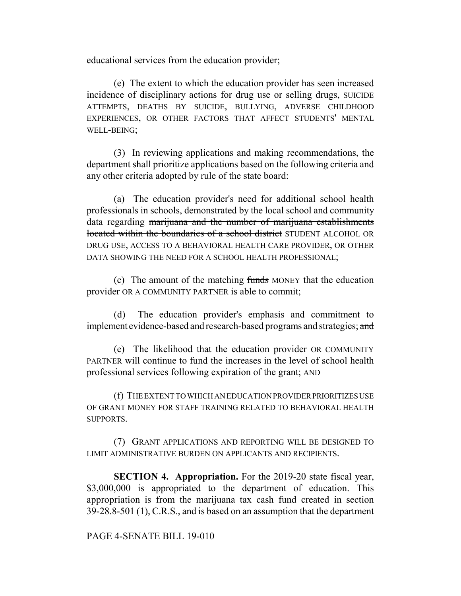educational services from the education provider;

(e) The extent to which the education provider has seen increased incidence of disciplinary actions for drug use or selling drugs, SUICIDE ATTEMPTS, DEATHS BY SUICIDE, BULLYING, ADVERSE CHILDHOOD EXPERIENCES, OR OTHER FACTORS THAT AFFECT STUDENTS' MENTAL WELL-BEING;

(3) In reviewing applications and making recommendations, the department shall prioritize applications based on the following criteria and any other criteria adopted by rule of the state board:

(a) The education provider's need for additional school health professionals in schools, demonstrated by the local school and community data regarding marijuana and the number of marijuana establishments located within the boundaries of a school district STUDENT ALCOHOL OR DRUG USE, ACCESS TO A BEHAVIORAL HEALTH CARE PROVIDER, OR OTHER DATA SHOWING THE NEED FOR A SCHOOL HEALTH PROFESSIONAL;

(c) The amount of the matching funds MONEY that the education provider OR A COMMUNITY PARTNER is able to commit;

(d) The education provider's emphasis and commitment to implement evidence-based and research-based programs and strategies; and

(e) The likelihood that the education provider OR COMMUNITY PARTNER will continue to fund the increases in the level of school health professional services following expiration of the grant; AND

(f) THE EXTENT TO WHICH AN EDUCATION PROVIDER PRIORITIZES USE OF GRANT MONEY FOR STAFF TRAINING RELATED TO BEHAVIORAL HEALTH SUPPORTS.

(7) GRANT APPLICATIONS AND REPORTING WILL BE DESIGNED TO LIMIT ADMINISTRATIVE BURDEN ON APPLICANTS AND RECIPIENTS.

**SECTION 4. Appropriation.** For the 2019-20 state fiscal year, \$3,000,000 is appropriated to the department of education. This appropriation is from the marijuana tax cash fund created in section 39-28.8-501 (1), C.R.S., and is based on an assumption that the department

PAGE 4-SENATE BILL 19-010